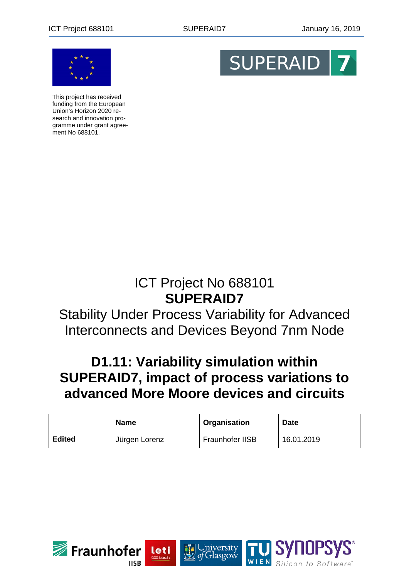

This project has received funding from the European Union's Horizon 2020 research and innovation programme under grant agreement No 688101.



# ICT Project No 688101 **SUPERAID7**

# Stability Under Process Variability for Advanced Interconnects and Devices Beyond 7nm Node

# **D1.11: Variability simulation within SUPERAID7, impact of process variations to advanced More Moore devices and circuits**

|               | <b>Name</b>   | Organisation    | <b>Date</b> |
|---------------|---------------|-----------------|-------------|
| <b>Edited</b> | Jürgen Lorenz | Fraunhofer IISB | 16.01.2019  |

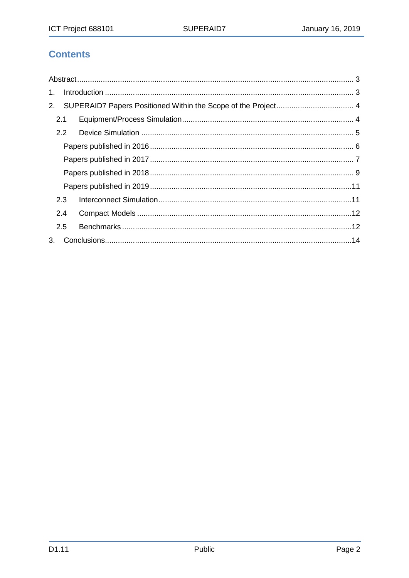# **Contents**

| $1_{-}$ |               |  |  |
|---------|---------------|--|--|
| 2.      |               |  |  |
|         | 2.1           |  |  |
|         | $2.2^{\circ}$ |  |  |
|         |               |  |  |
|         |               |  |  |
|         |               |  |  |
|         |               |  |  |
|         | 2.3           |  |  |
|         | 2.4           |  |  |
|         | 2.5           |  |  |
| 3.      |               |  |  |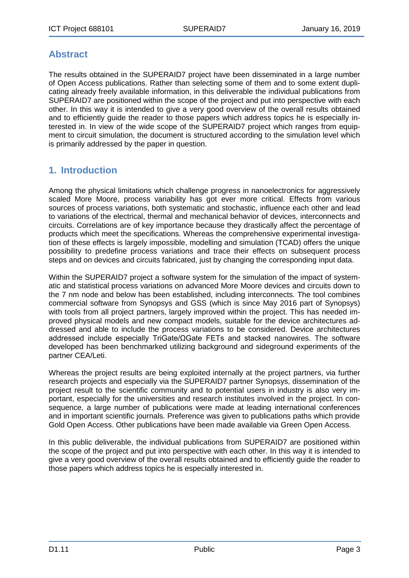## <span id="page-2-0"></span>**Abstract**

The results obtained in the SUPERAID7 project have been disseminated in a large number of Open Access publications. Rather than selecting some of them and to some extent duplicating already freely available information, in this deliverable the individual publications from SUPERAID7 are positioned within the scope of the project and put into perspective with each other. In this way it is intended to give a very good overview of the overall results obtained and to efficiently guide the reader to those papers which address topics he is especially interested in. In view of the wide scope of the SUPERAID7 project which ranges from equipment to circuit simulation, the document is structured according to the simulation level which is primarily addressed by the paper in question.

# <span id="page-2-1"></span>**1. Introduction**

Among the physical limitations which challenge progress in nanoelectronics for aggressively scaled More Moore, process variability has got ever more critical. Effects from various sources of process variations, both systematic and stochastic, influence each other and lead to variations of the electrical, thermal and mechanical behavior of devices, interconnects and circuits. Correlations are of key importance because they drastically affect the percentage of products which meet the specifications. Whereas the comprehensive experimental investigation of these effects is largely impossible, modelling and simulation (TCAD) offers the unique possibility to predefine process variations and trace their effects on subsequent process steps and on devices and circuits fabricated, just by changing the corresponding input data.

Within the SUPERAID7 project a software system for the simulation of the impact of systematic and statistical process variations on advanced More Moore devices and circuits down to the 7 nm node and below has been established, including interconnects. The tool combines commercial software from Synopsys and GSS (which is since May 2016 part of Synopsys) with tools from all project partners, largely improved within the project. This has needed improved physical models and new compact models, suitable for the device architectures addressed and able to include the process variations to be considered. Device architectures addressed include especially TriGate/ΩGate FETs and stacked nanowires. The software developed has been benchmarked utilizing background and sideground experiments of the partner CEA/Leti.

Whereas the project results are being exploited internally at the project partners, via further research projects and especially via the SUPERAID7 partner Synopsys, dissemination of the project result to the scientific community and to potential users in industry is also very important, especially for the universities and research institutes involved in the project. In consequence, a large number of publications were made at leading international conferences and in important scientific journals. Preference was given to publications paths which provide Gold Open Access. Other publications have been made available via Green Open Access.

In this public deliverable, the individual publications from SUPERAID7 are positioned within the scope of the project and put into perspective with each other. In this way it is intended to give a very good overview of the overall results obtained and to efficiently guide the reader to those papers which address topics he is especially interested in.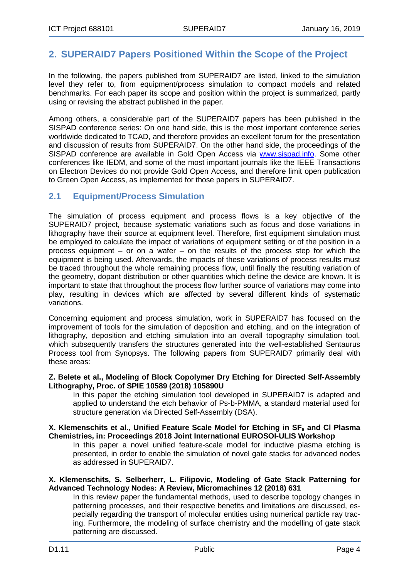# <span id="page-3-0"></span>**2. SUPERAID7 Papers Positioned Within the Scope of the Project**

In the following, the papers published from SUPERAID7 are listed, linked to the simulation level they refer to, from equipment/process simulation to compact models and related benchmarks. For each paper its scope and position within the project is summarized, partly using or revising the abstract published in the paper.

Among others, a considerable part of the SUPERAID7 papers has been published in the SISPAD conference series: On one hand side, this is the most important conference series worldwide dedicated to TCAD, and therefore provides an excellent forum for the presentation and discussion of results from SUPERAID7. On the other hand side, the proceedings of the SISPAD conference are available in Gold Open Access via [www.sispad.info.](http://www.sispad.info/) Some other conferences like IEDM, and some of the most important journals like the IEEE Transactions on Electron Devices do not provide Gold Open Access, and therefore limit open publication to Green Open Access, as implemented for those papers in SUPERAID7.

### <span id="page-3-1"></span>**2.1 Equipment/Process Simulation**

The simulation of process equipment and process flows is a key objective of the SUPERAID7 project, because systematic variations such as focus and dose variations in lithography have their source at equipment level. Therefore, first equipment simulation must be employed to calculate the impact of variations of equipment setting or of the position in a process equipment – or on a wafer – on the results of the process step for which the equipment is being used. Afterwards, the impacts of these variations of process results must be traced throughout the whole remaining process flow, until finally the resulting variation of the geometry, dopant distribution or other quantities which define the device are known. It is important to state that throughout the process flow further source of variations may come into play, resulting in devices which are affected by several different kinds of systematic variations.

Concerning equipment and process simulation, work in SUPERAID7 has focused on the improvement of tools for the simulation of deposition and etching, and on the integration of lithography, deposition and etching simulation into an overall topography simulation tool, which subsequently transfers the structures generated into the well-established Sentaurus Process tool from Synopsys. The following papers from SUPERAID7 primarily deal with these areas:

#### **Z. Belete et al., Modeling of Block Copolymer Dry Etching for Directed Self-Assembly Lithography, Proc. of SPIE 10589 (2018) 105890U**

In this paper the etching simulation tool developed in SUPERAID7 is adapted and applied to understand the etch behavior of Ps-b-PMMA, a standard material used for structure generation via Directed Self-Assembly (DSA).

#### **X. Klemenschits et al., Unified Feature Scale Model for Etching in SF6 and Cl Plasma Chemistries, in: Proceedings 2018 Joint International EUROSOI-ULIS Workshop**

In this paper a novel unified feature-scale model for inductive plasma etching is presented, in order to enable the simulation of novel gate stacks for advanced nodes as addressed in SUPERAID7.

#### **X. Klemenschits, S. Selberherr, L. Filipovic, Modeling of Gate Stack Patterning for Advanced Technology Nodes: A Review, Micromachines 12 (2018) 631**

In this review paper the fundamental methods, used to describe topology changes in patterning processes, and their respective benefits and limitations are discussed, especially regarding the transport of molecular entities using numerical particle ray tracing. Furthermore, the modeling of surface chemistry and the modelling of gate stack patterning are discussed.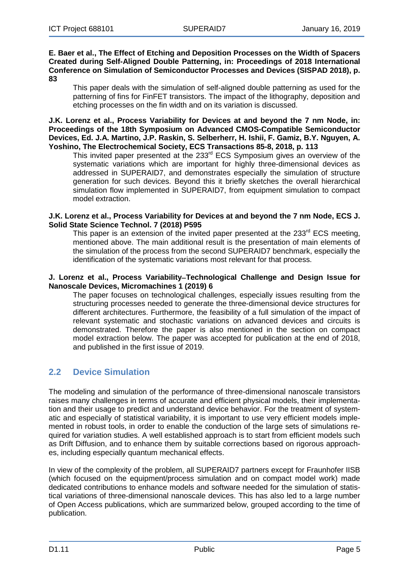#### **E. Baer et al., The Effect of Etching and Deposition Processes on the Width of Spacers Created during Self-Aligned Double Patterning, in: Proceedings of 2018 International Conference on Simulation of Semiconductor Processes and Devices (SISPAD 2018), p. 83**

This paper deals with the simulation of self-aligned double patterning as used for the patterning of fins for FinFET transistors. The impact of the lithography, deposition and etching processes on the fin width and on its variation is discussed.

**J.K. Lorenz et al., Process Variability for Devices at and beyond the 7 nm Node, in: Proceedings of the 18th Symposium on Advanced CMOS-Compatible Semiconductor Devices, Ed. J.A. Martino, J.P. Raskin, S. Selberherr, H. Ishii, F. Gamiz, B.Y. Nguyen, A. Yoshino, The Electrochemical Society, ECS Transactions 85-8, 2018, p. 113**

This invited paper presented at the 233<sup>rd</sup> ECS Symposium gives an overview of the systematic variations which are important for highly three-dimensional devices as addressed in SUPERAID7, and demonstrates especially the simulation of structure generation for such devices. Beyond this it briefly sketches the overall hierarchical simulation flow implemented in SUPERAID7, from equipment simulation to compact model extraction.

#### **J.K. Lorenz et al., Process Variability for Devices at and beyond the 7 nm Node, ECS J. Solid State Science Technol. 7 (2018) P595**

This paper is an extension of the invited paper presented at the  $233<sup>rd</sup>$  ECS meeting, mentioned above. The main additional result is the presentation of main elements of the simulation of the process from the second SUPERAID7 benchmark, especially the identification of the systematic variations most relevant for that process.

#### **J. Lorenz et al., Process Variability**−**Technological Challenge and Design Issue for Nanoscale Devices, Micromachines 1 (2019) 6**

The paper focuses on technological challenges, especially issues resulting from the structuring processes needed to generate the three-dimensional device structures for different architectures. Furthermore, the feasibility of a full simulation of the impact of relevant systematic and stochastic variations on advanced devices and circuits is demonstrated. Therefore the paper is also mentioned in the section on compact model extraction below. The paper was accepted for publication at the end of 2018, and published in the first issue of 2019.

## <span id="page-4-0"></span>**2.2 Device Simulation**

The modeling and simulation of the performance of three-dimensional nanoscale transistors raises many challenges in terms of accurate and efficient physical models, their implementation and their usage to predict and understand device behavior. For the treatment of systematic and especially of statistical variability, it is important to use very efficient models implemented in robust tools, in order to enable the conduction of the large sets of simulations required for variation studies. A well established approach is to start from efficient models such as Drift Diffusion, and to enhance them by suitable corrections based on rigorous approaches, including especially quantum mechanical effects.

In view of the complexity of the problem, all SUPERAID7 partners except for Fraunhofer IISB (which focused on the equipment/process simulation and on compact model work) made dedicated contributions to enhance models and software needed for the simulation of statistical variations of three-dimensional nanoscale devices. This has also led to a large number of Open Access publications, which are summarized below, grouped according to the time of publication.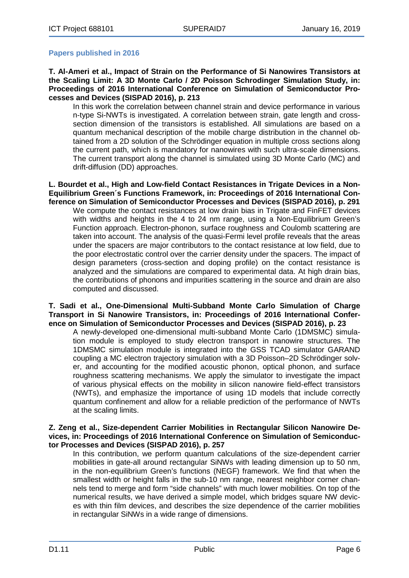#### <span id="page-5-0"></span>**Papers published in 2016**

**T. Al-Ameri et al., Impact of Strain on the Performance of Si Nanowires Transistors at the Scaling Limit: A 3D Monte Carlo / 2D Poisson Schrodinger Simulation Study, in: Proceedings of 2016 International Conference on Simulation of Semiconductor Processes and Devices (SISPAD 2016), p. 213**

In this work the correlation between channel strain and device performance in various n-type Si-NWTs is investigated. A correlation between strain, gate length and crosssection dimension of the transistors is established. All simulations are based on a quantum mechanical description of the mobile charge distribution in the channel obtained from a 2D solution of the Schrödinger equation in multiple cross sections along the current path, which is mandatory for nanowires with such ultra-scale dimensions. The current transport along the channel is simulated using 3D Monte Carlo (MC) and drift-diffusion (DD) approaches.

**L. Bourdet et al., High and Low-field Contact Resistances in Trigate Devices in a Non-Equilibrium Green´s Functions Framework, in: Proceedings of 2016 International Conference on Simulation of Semiconductor Processes and Devices (SISPAD 2016), p. 291**

We compute the contact resistances at low drain bias in Trigate and FinFET devices with widths and heights in the 4 to 24 nm range, using a Non-Equilibrium Green's Function approach. Electron-phonon, surface roughness and Coulomb scattering are taken into account. The analysis of the quasi-Fermi level profile reveals that the areas under the spacers are major contributors to the contact resistance at low field, due to the poor electrostatic control over the carrier density under the spacers. The impact of design parameters (cross-section and doping profile) on the contact resistance is analyzed and the simulations are compared to experimental data. At high drain bias, the contributions of phonons and impurities scattering in the source and drain are also computed and discussed.

#### **T. Sadi et al., One-Dimensional Multi-Subband Monte Carlo Simulation of Charge Transport in Si Nanowire Transistors, in: Proceedings of 2016 International Conference on Simulation of Semiconductor Processes and Devices (SISPAD 2016), p. 23**

A newly-developed one-dimensional multi-subband Monte Carlo (1DMSMC) simulation module is employed to study electron transport in nanowire structures. The 1DMSMC simulation module is integrated into the GSS TCAD simulator GARAND coupling a MC electron trajectory simulation with a 3D Poisson–2D Schrödinger solver, and accounting for the modified acoustic phonon, optical phonon, and surface roughness scattering mechanisms. We apply the simulator to investigate the impact of various physical effects on the mobility in silicon nanowire field-effect transistors (NWTs), and emphasize the importance of using 1D models that include correctly quantum confinement and allow for a reliable prediction of the performance of NWTs at the scaling limits.

#### **Z. Zeng et al., Size-dependent Carrier Mobilities in Rectangular Silicon Nanowire Devices, in: Proceedings of 2016 International Conference on Simulation of Semiconductor Processes and Devices (SISPAD 2016), p. 257**

In this contribution, we perform quantum calculations of the size-dependent carrier mobilities in gate-all around rectangular SiNWs with leading dimension up to 50 nm, in the non-equilibrium Green's functions (NEGF) framework. We find that when the smallest width or height falls in the sub-10 nm range, nearest neighbor corner channels tend to merge and form "side channels" with much lower mobilities. On top of the numerical results, we have derived a simple model, which bridges square NW devices with thin film devices, and describes the size dependence of the carrier mobilities in rectangular SiNWs in a wide range of dimensions.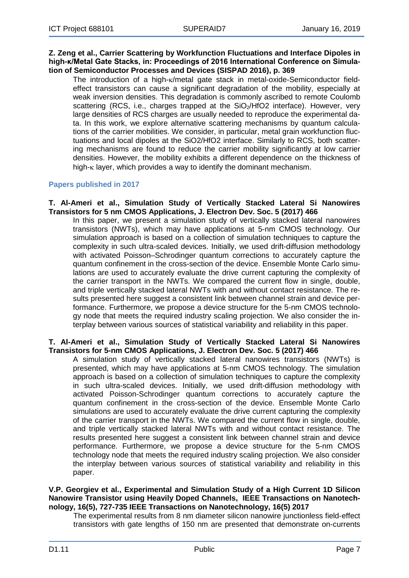#### **Z. Zeng et al., Carrier Scattering by Workfunction Fluctuations and Interface Dipoles in high-κ/Metal Gate Stacks, in: Proceedings of 2016 International Conference on Simulation of Semiconductor Processes and Devices (SISPAD 2016), p. 369**

The introduction of a high-κ/metal gate stack in metal-oxide-Semiconductor fieldeffect transistors can cause a significant degradation of the mobility, especially at weak inversion densities. This degradation is commonly ascribed to remote Coulomb scattering (RCS, i.e., charges trapped at the  $SiO<sub>2</sub>/HfO2$  interface). However, very large densities of RCS charges are usually needed to reproduce the experimental data. In this work, we explore alternative scattering mechanisms by quantum calculations of the carrier mobilities. We consider, in particular, metal grain workfunction fluctuations and local dipoles at the SiO2/HfO2 interface. Similarly to RCS, both scattering mechanisms are found to reduce the carrier mobility significantly at low carrier densities. However, the mobility exhibits a different dependence on the thickness of high-κ layer, which provides a way to identify the dominant mechanism.

#### <span id="page-6-0"></span>**Papers published in 2017**

#### **T. Al-Ameri et al., Simulation Study of Vertically Stacked Lateral Si Nanowires Transistors for 5 nm CMOS Applications, J. Electron Dev. Soc. 5 (2017) 466**

In this paper, we present a simulation study of vertically stacked lateral nanowires transistors (NWTs), which may have applications at 5-nm CMOS technology. Our simulation approach is based on a collection of simulation techniques to capture the complexity in such ultra-scaled devices. Initially, we used drift-diffusion methodology with activated Poisson–Schrodinger quantum corrections to accurately capture the quantum confinement in the cross-section of the device. Ensemble Monte Carlo simulations are used to accurately evaluate the drive current capturing the complexity of the carrier transport in the NWTs. We compared the current flow in single, double, and triple vertically stacked lateral NWTs with and without contact resistance. The results presented here suggest a consistent link between channel strain and device performance. Furthermore, we propose a device structure for the 5-nm CMOS technology node that meets the required industry scaling projection. We also consider the interplay between various sources of statistical variability and reliability in this paper.

#### **T. Al-Ameri et al., Simulation Study of Vertically Stacked Lateral Si Nanowires Transistors for 5-nm CMOS Applications, J. Electron Dev. Soc. 5 (2017) 466**

A simulation study of vertically stacked lateral nanowires transistors (NWTs) is presented, which may have applications at 5-nm CMOS technology. The simulation approach is based on a collection of simulation techniques to capture the complexity in such ultra-scaled devices. Initially, we used drift-diffusion methodology with activated Poisson-Schrodinger quantum corrections to accurately capture the quantum confinement in the cross-section of the device. Ensemble Monte Carlo simulations are used to accurately evaluate the drive current capturing the complexity of the carrier transport in the NWTs. We compared the current flow in single, double, and triple vertically stacked lateral NWTs with and without contact resistance. The results presented here suggest a consistent link between channel strain and device performance. Furthermore, we propose a device structure for the 5-nm CMOS technology node that meets the required industry scaling projection. We also consider the interplay between various sources of statistical variability and reliability in this paper.

#### **V.P. Georgiev et al., Experimental and Simulation Study of a High Current 1D Silicon Nanowire Transistor using Heavily Doped Channels, IEEE Transactions on Nanotechnology, 16(5), 727-735 IEEE Transactions on [Nanotechnology,](http://eprints.gla.ac.uk/view/journal_volume/IEEE_Transactions_on_Nanotechnology.html) 16(5) 2017**

The experimental results from 8 nm diameter silicon nanowire junctionless field-effect transistors with gate lengths of 150 nm are presented that demonstrate on-currents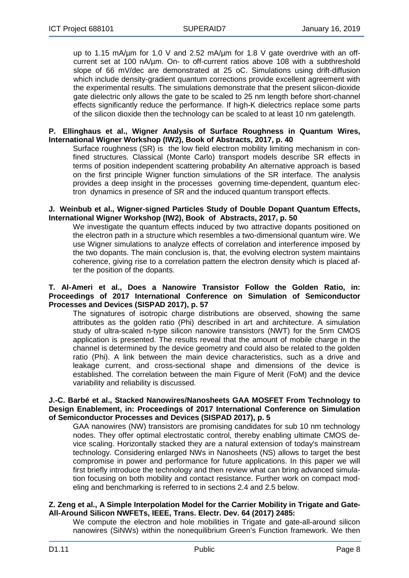up to 1.15 mA/um for 1.0 V and 2.52 mA/um for 1.8 V gate overdrive with an offcurrent set at 100 nA/µm. On- to off-current ratios above 108 with a subthreshold slope of 66 mV/dec are demonstrated at 25 oC. Simulations using drift-diffusion which include density-gradient quantum corrections provide excellent agreement with the experimental results. The simulations demonstrate that the present silicon-dioxide gate dielectric only allows the gate to be scaled to 25 nm length before short-channel effects significantly reduce the performance. If high-K dielectrics replace some parts of the silicon dioxide then the technology can be scaled to at least 10 nm gatelength.

#### **P. Ellinghaus et al., Wigner Analysis of Surface Roughness in Quantum Wires, International Wigner Workshop (IW2), Book of Abstracts, 2017, p. 40**

Surface roughness (SR) is the low field electron mobility limiting mechanism in confined structures. Classical (Monte Carlo) transport models describe SR effects in terms of position independent scattering probability An alternative approach is based on the first principle Wigner function simulations of the SR interface. The analysis provides a deep insight in the processes governing time-dependent, quantum electron dynamics in presence of SR and the induced quantum transport effects.

#### **J. Weinbub et al., Wigner-signed Particles Study of Double Dopant Quantum Effects, International Wigner Workshop (IW2), Book of Abstracts, 2017, p. 50**

We investigate the quantum effects induced by two attractive dopants positioned on the electron path in a structure which resembles a two-dimensional quantum wire. We use Wigner simulations to analyze effects of correlation and interference imposed by the two dopants. The main conclusion is, that, the evolving electron system maintains coherence, giving rise to a correlation pattern the electron density which is placed after the position of the dopants.

#### **T. Al-Ameri et al., Does a Nanowire Transistor Follow the Golden Ratio, in: Proceedings of 2017 International Conference on Simulation of Semiconductor Processes and Devices (SISPAD 2017), p. 57**

The signatures of isotropic charge distributions are observed, showing the same attributes as the golden ratio (Phi) described in art and architecture. A simulation study of ultra-scaled n-type silicon nanowire transistors (NWT) for the 5nm CMOS application is presented. The results reveal that the amount of mobile charge in the channel is determined by the device geometry and could also be related to the golden ratio (Phi). A link between the main device characteristics, such as a drive and leakage current, and cross-sectional shape and dimensions of the device is established. The correlation between the main Figure of Merit (FoM) and the device variability and reliability is discussed.

#### **J.-C. Barbé et al., Stacked Nanowires/Nanosheets GAA MOSFET From Technology to Design Enablement, in: Proceedings of 2017 International Conference on Simulation of Semiconductor Processes and Devices (SISPAD 2017), p. 5**

GAA nanowires (NW) transistors are promising candidates for sub 10 nm technology nodes. They offer optimal electrostatic control, thereby enabling ultimate CMOS device scaling. Horizontally stacked they are a natural extension of today's mainstream technology. Considering enlarged NWs in Nanosheets (NS) allows to target the best compromise in power and performance for future applications. In this paper we will first briefly introduce the technology and then review what can bring advanced simulation focusing on both mobility and contact resistance. Further work on compact modeling and benchmarking is referred to in sections 2.4 and 2.5 below.

#### **Z. Zeng et al., A Simple Interpolation Model for the Carrier Mobility in Trigate and Gate-All-Around Silicon NWFETs, IEEE, Trans. Electr. Dev. 64 (2017) 2485:**

We compute the electron and hole mobilities in Trigate and gate-all-around silicon nanowires (SiNWs) within the nonequilibrium Green's Function framework. We then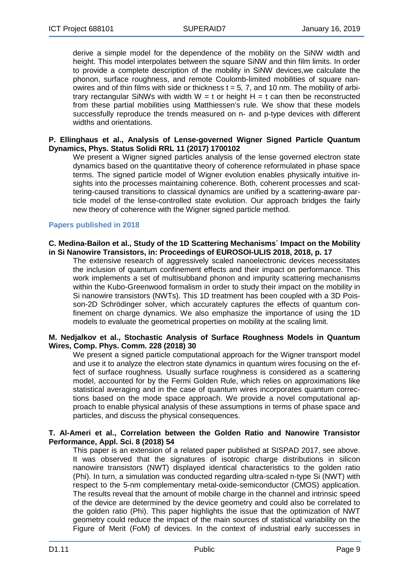derive a simple model for the dependence of the mobility on the SiNW width and height. This model interpolates between the square SiNW and thin film limits. In order to provide a complete description of the mobility in SiNW devices,we calculate the phonon, surface roughness, and remote Coulomb-limited mobilities of square nanowires and of thin films with side or thickness t = 5*,* 7, and 10 nm. The mobility of arbitrary rectangular SiNWs with width  $W = t$  or height  $H = t$  can then be reconstructed from these partial mobilities using Matthiessen's rule. We show that these models successfully reproduce the trends measured on n- and p-type devices with different widths and orientations.

#### **P. Ellinghaus et al., Analysis of Lense-governed Wigner Signed Particle Quantum Dynamics, Phys. Status Solidi RRL 11 (2017) 1700102**

We present a Wigner signed particles analysis of the lense governed electron state dynamics based on the quantitative theory of coherence reformulated in phase space terms. The signed particle model of Wigner evolution enables physically intuitive insights into the processes maintaining coherence. Both, coherent processes and scattering-caused transitions to classical dynamics are unified by a scattering-aware particle model of the lense-controlled state evolution. Our approach bridges the fairly new theory of coherence with the Wigner signed particle method.

#### <span id="page-8-0"></span>**Papers published in 2018**

#### **C. Medina-Bailon et al., Study of the 1D Scattering Mechanisms´ Impact on the Mobility in Si Nanowire Transistors, in: Proceedings of EUROSOI-ULIS 2018, 2018, p. 17**

The extensive research of aggressively scaled nanoelectronic devices necessitates the inclusion of quantum confinement effects and their impact on performance. This work implements a set of multisubband phonon and impurity scattering mechanisms within the Kubo-Greenwood formalism in order to study their impact on the mobility in Si nanowire transistors (NWTs). This 1D treatment has been coupled with a 3D Poisson-2D Schrödinger solver, which accurately captures the effects of quantum confinement on charge dynamics. We also emphasize the importance of using the 1D models to evaluate the geometrical properties on mobility at the scaling limit.

#### **M. Nedjalkov et al., Stochastic Analysis of Surface Roughness Models in Quantum Wires, Comp. Phys. Comm. 228 (2018) 30**

We present a signed particle computational approach for the Wigner transport model and use it to analyze the electron state dynamics in quantum wires focusing on the effect of surface roughness. Usually surface roughness is considered as a scattering model, accounted for by the Fermi Golden Rule, which relies on approximations like statistical averaging and in the case of quantum wires incorporates quantum corrections based on the mode space approach. We provide a novel computational approach to enable physical analysis of these assumptions in terms of phase space and particles, and discuss the physical consequences.

#### **T. Al-Ameri et al., Correlation between the Golden Ratio and Nanowire Transistor Performance, Appl. Sci. 8 (2018) 54**

This paper is an extension of a related paper published at SISPAD 2017, see above. It was observed that the signatures of isotropic charge distributions in silicon nanowire transistors (NWT) displayed identical characteristics to the golden ratio (Phi). In turn, a simulation was conducted regarding ultra-scaled n-type Si (NWT) with respect to the 5-nm complementary metal-oxide-semiconductor (CMOS) application. The results reveal that the amount of mobile charge in the channel and intrinsic speed of the device are determined by the device geometry and could also be correlated to the golden ratio (Phi). This paper highlights the issue that the optimization of NWT geometry could reduce the impact of the main sources of statistical variability on the Figure of Merit (FoM) of devices. In the context of industrial early successes in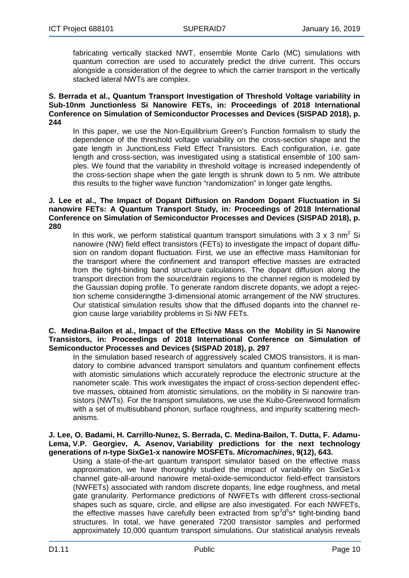fabricating vertically stacked NWT, ensemble Monte Carlo (MC) simulations with quantum correction are used to accurately predict the drive current. This occurs alongside a consideration of the degree to which the carrier transport in the vertically stacked lateral NWTs are complex.

#### **S. Berrada et al., Quantum Transport Investigation of Threshold Voltage variability in Sub-10nm Junctionless Si Nanowire FETs, in: Proceedings of 2018 International Conference on Simulation of Semiconductor Processes and Devices (SISPAD 2018), p. 244**

In this paper, we use the Non-Equilibrium Green's Function formalism to study the dependence of the threshold voltage variability on the cross-section shape and the gate length in JunctionLess Field Effect Transistors. Each configuration, i.e. gate length and cross-section, was investigated using a statistical ensemble of 100 samples. We found that the variability in threshold voltage is increased independently of the cross-section shape when the gate length is shrunk down to 5 nm. We attribute this results to the higher wave function "randomization" in longer gate lengths.

#### **J. Lee et al., The Impact of Dopant Diffusion on Random Dopant Fluctuation in Si nanowire FETs: A Quantum Transport Study, in: Proceedings of 2018 International Conference on Simulation of Semiconductor Processes and Devices (SISPAD 2018), p. 280**

In this work, we perform statistical quantum transport simulations with 3 x 3 nm<sup>2</sup> Si nanowire (NW) field effect transistors (FETs) to investigate the impact of dopant diffusion on random dopant fluctuation. First, we use an effective mass Hamiltonian for the transport where the confinement and transport effective masses are extracted from the tight-binding band structure calculations. The dopant diffusion along the transport direction from the source/drain regions to the channel region is modeled by the Gaussian doping profile. To generate random discrete dopants, we adopt a rejection scheme consideringthe 3-dimensional atomic arrangement of the NW structures. Our statistical simulation results show that the diffused dopants into the channel region cause large variability problems in Si NW FETs.

#### **C. Medina-Bailon et al., Impact of the Effective Mass on the Mobility in Si Nanowire Transistors, in: Proceedings of 2018 International Conference on Simulation of Semiconductor Processes and Devices (SISPAD 2018), p. 297**

In the simulation based research of aggressively scaled CMOS transistors, it is mandatory to combine advanced transport simulators and quantum confinement effects with atomistic simulations which accurately reproduce the electronic structure at the nanometer scale. This work investigates the impact of cross-section dependent effective masses, obtained from atomistic simulations, on the mobility in Si nanowire transistors (NWTs). For the transport simulations, we use the Kubo-Greenwood formalism with a set of multisubband phonon, surface roughness, and impurity scattering mechanisms.

#### **J. Lee, O. Badami, H. Carrillo-Nunez, S. Berrada, C. Medina-Bailon, T. Dutta, F. Adamu-Lema, V.P. Georgiev, A. Asenov, Variability [predictions](http://eprints.gla.ac.uk/173916/) for the next technology [generations](http://eprints.gla.ac.uk/173916/) of n-type SixGe1-x nanowire MOSFETs.** *[Micromachines](http://eprints.gla.ac.uk/view/journal_volume/Micromachines.html)***, 9(12), 643.**

Using a state-of-the-art quantum transport simulator based on the effective mass approximation, we have thoroughly studied the impact of variability on SixGe1-x channel gate-all-around nanowire metal-oxide-semiconductor field-effect transistors (NWFETs) associated with random discrete dopants, line edge roughness, and metal gate granularity. Performance predictions of NWFETs with different cross-sectional shapes such as square, circle, and ellipse are also investigated. For each NWFETs, the effective masses have carefully been extracted from  $sp^3d^5s^*$  tight-binding band structures. In total, we have generated 7200 transistor samples and performed approximately 10,000 quantum transport simulations. Our statistical analysis reveals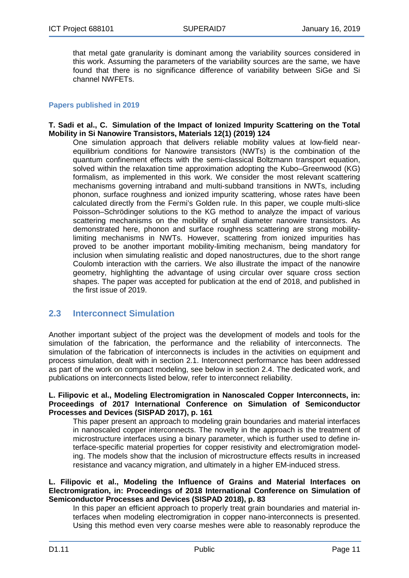that metal gate granularity is dominant among the variability sources considered in this work. Assuming the parameters of the variability sources are the same, we have found that there is no significance difference of variability between SiGe and Si channel NWFETs.

#### <span id="page-10-0"></span>**Papers published in 2019**

#### **T. Sadi et al., C. Simulation of the Impact of Ionized Impurity Scattering on the Total Mobility in Si Nanowire Transistors, Materials 12(1) (2019) 124**

One simulation approach that delivers reliable mobility values at low-field nearequilibrium conditions for Nanowire transistors (NWTs) is the combination of the quantum confinement effects with the semi-classical Boltzmann transport equation, solved within the relaxation time approximation adopting the Kubo–Greenwood (KG) formalism, as implemented in this work. We consider the most relevant scattering mechanisms governing intraband and multi-subband transitions in NWTs, including phonon, surface roughness and ionized impurity scattering, whose rates have been calculated directly from the Fermi's Golden rule. In this paper, we couple multi-slice Poisson–Schrödinger solutions to the KG method to analyze the impact of various scattering mechanisms on the mobility of small diameter nanowire transistors. As demonstrated here, phonon and surface roughness scattering are strong mobilitylimiting mechanisms in NWTs. However, scattering from ionized impurities has proved to be another important mobility-limiting mechanism, being mandatory for inclusion when simulating realistic and doped nanostructures, due to the short range Coulomb interaction with the carriers. We also illustrate the impact of the nanowire geometry, highlighting the advantage of using circular over square cross section shapes. The paper was accepted for publication at the end of 2018, and published in the first issue of 2019.

### <span id="page-10-1"></span>**2.3 Interconnect Simulation**

Another important subject of the project was the development of models and tools for the simulation of the fabrication, the performance and the reliability of interconnects. The simulation of the fabrication of interconnects is includes in the activities on equipment and process simulation, dealt with in section 2.1. Interconnect performance has been addressed as part of the work on compact modeling, see below in section 2.4. The dedicated work, and publications on interconnects listed below, refer to interconnect reliability.

#### **L. Filipovic et al., Modeling Electromigration in Nanoscaled Copper Interconnects, in: Proceedings of 2017 International Conference on Simulation of Semiconductor Processes and Devices (SISPAD 2017), p. 161**

This paper present an approach to modeling grain boundaries and material interfaces in nanoscaled copper interconnects. The novelty in the approach is the treatment of microstructure interfaces using a binary parameter, which is further used to define interface-specific material properties for copper resistivity and electromigration modeling. The models show that the inclusion of microstructure effects results in increased resistance and vacancy migration, and ultimately in a higher EM-induced stress.

#### **L. Filipovic et al., Modeling the Influence of Grains and Material Interfaces on Electromigration, in: Proceedings of 2018 International Conference on Simulation of Semiconductor Processes and Devices (SISPAD 2018), p. 83**

In this paper an efficient approach to properly treat grain boundaries and material interfaces when modeling electromigration in copper nano-interconnects is presented. Using this method even very coarse meshes were able to reasonably reproduce the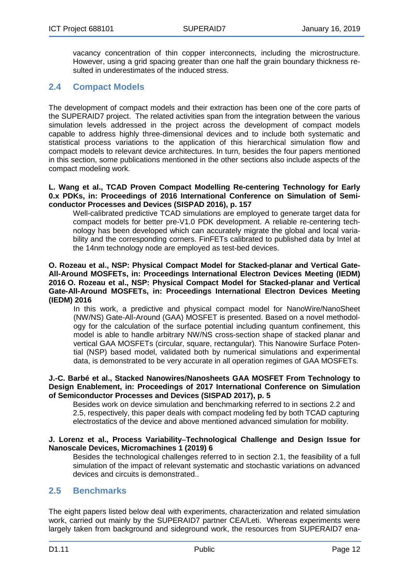vacancy concentration of thin copper interconnects, including the microstructure. However, using a grid spacing greater than one half the grain boundary thickness resulted in underestimates of the induced stress.

## <span id="page-11-0"></span>**2.4 Compact Models**

The development of compact models and their extraction has been one of the core parts of the SUPERAID7 project. The related activities span from the integration between the various simulation levels addressed in the project across the development of compact models capable to address highly three-dimensional devices and to include both systematic and statistical process variations to the application of this hierarchical simulation flow and compact models to relevant device architectures. In turn, besides the four papers mentioned in this section, some publications mentioned in the other sections also include aspects of the compact modeling work.

#### **L. Wang et al., TCAD Proven Compact Modelling Re-centering Technology for Early 0.x PDKs, in: Proceedings of 2016 International Conference on Simulation of Semiconductor Processes and Devices (SISPAD 2016), p. 157**

Well-calibrated predictive TCAD simulations are employed to generate target data for compact models for better pre-V1.0 PDK development. A reliable re-centering technology has been developed which can accurately migrate the global and local variability and the corresponding corners. FinFETs calibrated to published data by Intel at the 14nm technology node are employed as test-bed devices.

#### **O. Rozeau et al., NSP: Physical Compact Model for Stacked-planar and Vertical Gate-All-Around MOSFETs, in: Proceedings International Electron Devices Meeting (IEDM) 2016 O. Rozeau et al., NSP: Physical Compact Model for Stacked-planar and Vertical Gate-All-Around MOSFETs, in: Proceedings International Electron Devices Meeting (IEDM) 2016**

In this work, a predictive and physical compact model for NanoWire/NanoSheet (NW/NS) Gate-All-Around (GAA) MOSFET is presented. Based on a novel methodology for the calculation of the surface potential including quantum confinement, this model is able to handle arbitrary NW/NS cross-section shape of stacked planar and vertical GAA MOSFETs (circular, square, rectangular). This Nanowire Surface Potential (NSP) based model, validated both by numerical simulations and experimental data, is demonstrated to be very accurate in all operation regimes of GAA MOSFETs.

#### **J.-C. Barbé et al., Stacked Nanowires/Nanosheets GAA MOSFET From Technology to Design Enablement, in: Proceedings of 2017 International Conference on Simulation of Semiconductor Processes and Devices (SISPAD 2017), p. 5**

Besides work on device simulation and benchmarking referred to in sections 2.2 and 2.5, respectively, this paper deals with compact modeling fed by both TCAD capturing electrostatics of the device and above mentioned advanced simulation for mobility.

#### **J. Lorenz et al., Process Variability**−**Technological Challenge and Design Issue for Nanoscale Devices, Micromachines 1 (2019) 6**

Besides the technological challenges referred to in section 2.1, the feasibility of a full simulation of the impact of relevant systematic and stochastic variations on advanced devices and circuits is demonstrated..

### <span id="page-11-1"></span>**2.5 Benchmarks**

The eight papers listed below deal with experiments, characterization and related simulation work, carried out mainly by the SUPERAID7 partner CEA/Leti. Whereas experiments were largely taken from background and sideground work, the resources from SUPERAID7 ena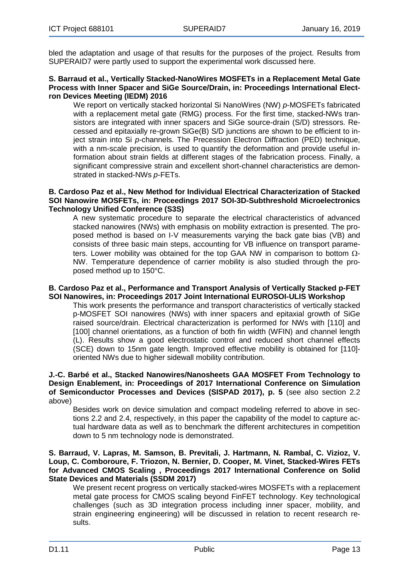bled the adaptation and usage of that results for the purposes of the project. Results from SUPERAID7 were partly used to support the experimental work discussed here.

#### **S. Barraud et al., Vertically Stacked-NanoWires MOSFETs in a Replacement Metal Gate Process with Inner Spacer and SiGe Source/Drain, in: Proceedings International Electron Devices Meeting (IEDM) 2016**

We report on vertically stacked horizontal Si NanoWires (NW) *p*-MOSFETs fabricated with a replacement metal gate (RMG) process. For the first time, stacked-NWs transistors are integrated with inner spacers and SiGe source-drain (S/D) stressors. Recessed and epitaxially re-grown SiGe(B) S/D junctions are shown to be efficient to inject strain into Si *p-*channels. The Precession Electron Diffraction (PED) technique, with a nm-scale precision, is used to quantify the deformation and provide useful information about strain fields at different stages of the fabrication process. Finally, a significant compressive strain and excellent short-channel characteristics are demonstrated in stacked-NWs *p*-FETs.

#### **B. Cardoso Paz et al., New Method for Individual Electrical Characterization of Stacked SOI Nanowire MOSFETs, in: Proceedings 2017 SOI-3D-Subthreshold Microelectronics Technology Unified Conference (S3S)**

A new systematic procedure to separate the electrical characteristics of advanced stacked nanowires (NWs) with emphasis on mobility extraction is presented. The proposed method is based on I-V measurements varying the back gate bias (VB) and consists of three basic main steps, accounting for VB influence on transport parameters. Lower mobility was obtained for the top GAA NW in comparison to bottom  $Ω$ -NW. Temperature dependence of carrier mobility is also studied through the proposed method up to 150°C.

#### **B. Cardoso Paz et al., Performance and Transport Analysis of Vertically Stacked p-FET SOI Nanowires, in: Proceedings 2017 Joint International EUROSOI-ULIS Workshop**

This work presents the performance and transport characteristics of vertically stacked p-MOSFET SOI nanowires (NWs) with inner spacers and epitaxial growth of SiGe raised source/drain. Electrical characterization is performed for NWs with [110] and [100] channel orientations, as a function of both fin width (WFIN) and channel length (L). Results show a good electrostatic control and reduced short channel effects (SCE) down to 15nm gate length. Improved effective mobility is obtained for [110] oriented NWs due to higher sidewall mobility contribution.

#### **J.-C. Barbé et al., Stacked Nanowires/Nanosheets GAA MOSFET From Technology to Design Enablement, in: Proceedings of 2017 International Conference on Simulation of Semiconductor Processes and Devices (SISPAD 2017), p. 5** (see also section 2.2 above)

Besides work on device simulation and compact modeling referred to above in sections 2.2 and 2.4, respectively, in this paper the capability of the model to capture actual hardware data as well as to benchmark the different architectures in competition down to 5 nm technology node is demonstrated.

#### **S. Barraud, V. Lapras, M. Samson, B. Previtali, J. Hartmann, N. Rambal, C. Vizioz, V. Loup, C. Comboroure, F. Triozon, N. Bernier, D. Cooper, M. Vinet, Stacked-Wires FETs for Advanced CMOS Scaling , Proceedings 2017 International Conference on Solid State Devices and Materials (SSDM 2017)**

We present recent progress on vertically stacked-wires MOSFETs with a replacement metal gate process for CMOS scaling beyond FinFET technology. Key technological challenges (such as 3D integration process including inner spacer, mobility, and strain engineering engineering) will be discussed in relation to recent research results.